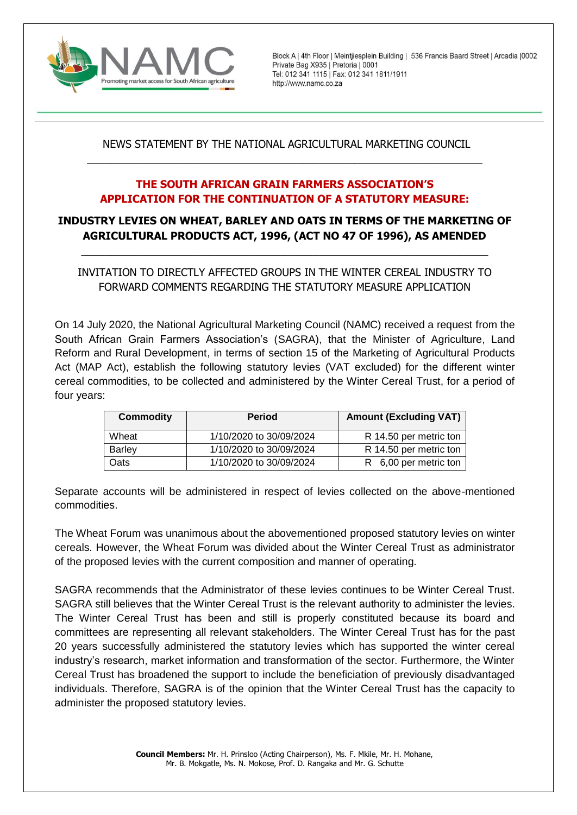

Block A | 4th Floor | Meintjiesplein Building | 536 Francis Baard Street | Arcadia | 0002 Private Bag X935 | Pretoria | 0001 Tel: 012 341 1115 | Fax: 012 341 1811/1911 http://www.namc.co.za

## NEWS STATEMENT BY THE NATIONAL AGRICULTURAL MARKETING COUNCIL \_\_\_\_\_\_\_\_\_\_\_\_\_\_\_\_\_\_\_\_\_\_\_\_\_\_\_\_\_\_\_\_\_\_\_\_\_\_\_\_\_\_\_\_\_\_\_\_\_\_\_\_\_\_\_\_\_\_\_\_\_\_\_\_\_\_\_\_

## **THE SOUTH AFRICAN GRAIN FARMERS ASSOCIATION'S APPLICATION FOR THE CONTINUATION OF A STATUTORY MEASURE:**

# **INDUSTRY LEVIES ON WHEAT, BARLEY AND OATS IN TERMS OF THE MARKETING OF AGRICULTURAL PRODUCTS ACT, 1996, (ACT NO 47 OF 1996), AS AMENDED**

\_\_\_\_\_\_\_\_\_\_\_\_\_\_\_\_\_\_\_\_\_\_\_\_\_\_\_\_\_\_\_\_\_\_\_\_\_\_\_\_\_\_\_\_\_\_\_\_\_\_\_\_\_\_\_\_\_\_\_\_\_\_\_\_\_\_\_\_\_\_

INVITATION TO DIRECTLY AFFECTED GROUPS IN THE WINTER CEREAL INDUSTRY TO FORWARD COMMENTS REGARDING THE STATUTORY MEASURE APPLICATION

On 14 July 2020, the National Agricultural Marketing Council (NAMC) received a request from the South African Grain Farmers Association's (SAGRA), that the Minister of Agriculture, Land Reform and Rural Development, in terms of section 15 of the Marketing of Agricultural Products Act (MAP Act), establish the following statutory levies (VAT excluded) for the different winter cereal commodities, to be collected and administered by the Winter Cereal Trust, for a period of four years:

| <b>Commodity</b> | <b>Period</b>           | <b>Amount (Excluding VAT)</b> |
|------------------|-------------------------|-------------------------------|
| Wheat            | 1/10/2020 to 30/09/2024 | R 14.50 per metric ton        |
| <b>Barley</b>    | 1/10/2020 to 30/09/2024 | R 14.50 per metric ton        |
| Oats             | 1/10/2020 to 30/09/2024 | R 6,00 per metric ton         |

Separate accounts will be administered in respect of levies collected on the above-mentioned commodities.

The Wheat Forum was unanimous about the abovementioned proposed statutory levies on winter cereals. However, the Wheat Forum was divided about the Winter Cereal Trust as administrator of the proposed levies with the current composition and manner of operating.

SAGRA recommends that the Administrator of these levies continues to be Winter Cereal Trust. SAGRA still believes that the Winter Cereal Trust is the relevant authority to administer the levies. The Winter Cereal Trust has been and still is properly constituted because its board and committees are representing all relevant stakeholders. The Winter Cereal Trust has for the past 20 years successfully administered the statutory levies which has supported the winter cereal industry's research, market information and transformation of the sector. Furthermore, the Winter Cereal Trust has broadened the support to include the beneficiation of previously disadvantaged individuals. Therefore, SAGRA is of the opinion that the Winter Cereal Trust has the capacity to administer the proposed statutory levies.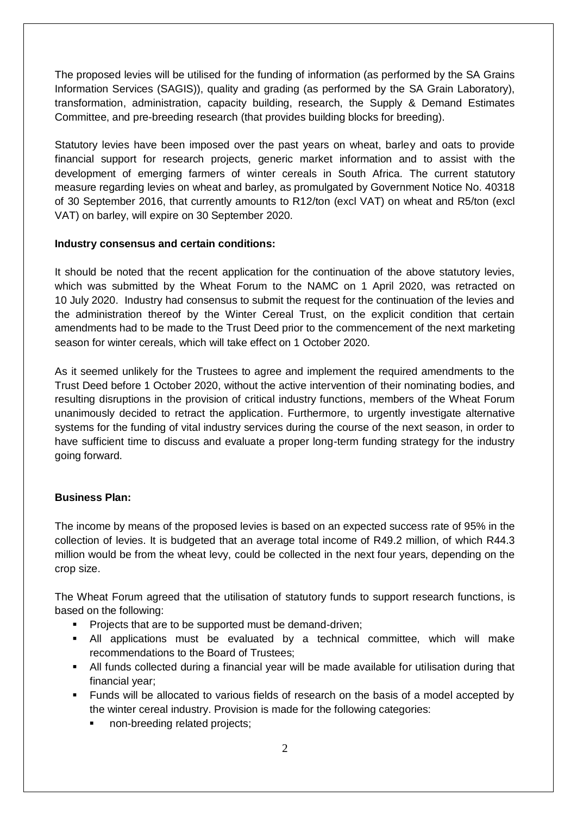The proposed levies will be utilised for the funding of information (as performed by the SA Grains Information Services (SAGIS)), quality and grading (as performed by the SA Grain Laboratory), transformation, administration, capacity building, research, the Supply & Demand Estimates Committee, and pre-breeding research (that provides building blocks for breeding).

Statutory levies have been imposed over the past years on wheat, barley and oats to provide financial support for research projects, generic market information and to assist with the development of emerging farmers of winter cereals in South Africa. The current statutory measure regarding levies on wheat and barley, as promulgated by Government Notice No. 40318 of 30 September 2016, that currently amounts to R12/ton (excl VAT) on wheat and R5/ton (excl VAT) on barley, will expire on 30 September 2020.

### **Industry consensus and certain conditions:**

It should be noted that the recent application for the continuation of the above statutory levies, which was submitted by the Wheat Forum to the NAMC on 1 April 2020, was retracted on 10 July 2020. Industry had consensus to submit the request for the continuation of the levies and the administration thereof by the Winter Cereal Trust, on the explicit condition that certain amendments had to be made to the Trust Deed prior to the commencement of the next marketing season for winter cereals, which will take effect on 1 October 2020.

As it seemed unlikely for the Trustees to agree and implement the required amendments to the Trust Deed before 1 October 2020, without the active intervention of their nominating bodies, and resulting disruptions in the provision of critical industry functions, members of the Wheat Forum unanimously decided to retract the application. Furthermore, to urgently investigate alternative systems for the funding of vital industry services during the course of the next season, in order to have sufficient time to discuss and evaluate a proper long-term funding strategy for the industry going forward.

#### **Business Plan:**

The income by means of the proposed levies is based on an expected success rate of 95% in the collection of levies. It is budgeted that an average total income of R49.2 million, of which R44.3 million would be from the wheat levy, could be collected in the next four years, depending on the crop size.

The Wheat Forum agreed that the utilisation of statutory funds to support research functions, is based on the following:

- **Projects that are to be supported must be demand-driven;**
- All applications must be evaluated by a technical committee, which will make recommendations to the Board of Trustees;
- All funds collected during a financial year will be made available for utilisation during that financial year;
- Funds will be allocated to various fields of research on the basis of a model accepted by the winter cereal industry. Provision is made for the following categories:
	- non-breeding related projects;